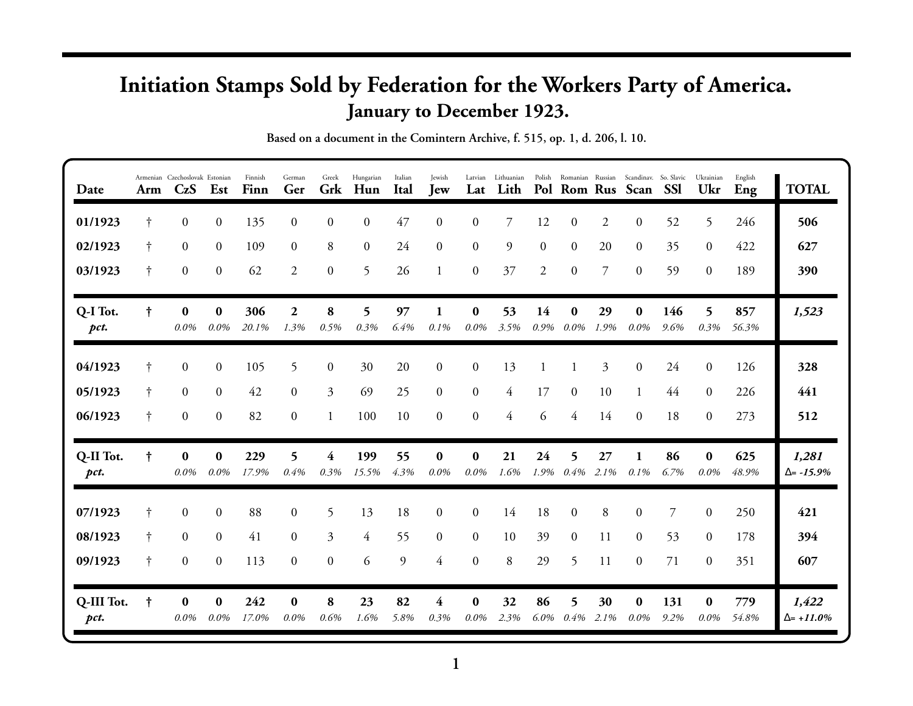## **Initiation Stamps Sold by Federation for the Workers Party of America. January to December 1923.**

| Date               | Arm        | Armenian Czechoslovak Estonian<br>CzS | Est                 | Finnish<br>Finn | German<br>Ger            | Greek<br>Grk     | Hungarian<br>Hun | Italian<br><b>Ital</b> | Jewish<br><b>Jew</b> | Lat                 | Latvian Lithuanian<br>Lith |                |                     |                | Polish Romanian Russian Scandinav. So. Slavic<br>Pol Rom Rus Scan | SSI            | Ukrainian<br>Ukr    | English<br>Eng | <b>TOTAL</b>                |
|--------------------|------------|---------------------------------------|---------------------|-----------------|--------------------------|------------------|------------------|------------------------|----------------------|---------------------|----------------------------|----------------|---------------------|----------------|-------------------------------------------------------------------|----------------|---------------------|----------------|-----------------------------|
| 01/1923            | $\ddagger$ | $\boldsymbol{0}$                      | $\boldsymbol{0}$    | 135             | $\Omega$                 | $\theta$         | $\boldsymbol{0}$ | 47                     | $\Omega$             | $\Omega$            | 7                          | 12             | $\boldsymbol{0}$    | $\overline{2}$ | $\Omega$                                                          | 52             | 5                   | 246            | 506                         |
| 02/1923            | $\dagger$  | $\mathbf{0}$                          | $\mathbf{0}$        | 109             | $\overline{0}$           | 8                | $\mathbf{0}$     | 24                     | $\mathbf{0}$         | $\mathbf{0}$        | 9                          | $\overline{0}$ | $\overline{0}$      | 20             | $\Omega$                                                          | 35             | $\overline{0}$      | 422            | 627                         |
| 03/1923            | $\dagger$  | $\mathbf{0}$                          | $\boldsymbol{0}$    | 62              | $\overline{2}$           | $\boldsymbol{0}$ | 5                | 26                     | $\mathbf{1}$         | $\mathbf{0}$        | 37                         | $\overline{2}$ | $\mathbf{0}$        | 7              | $\overline{0}$                                                    | 59             | $\Omega$            | 189            | 390                         |
| Q-I Tot.<br>pct.   | $\ddagger$ | $\bf{0}$<br>0.0%                      | $\bf{0}$<br>$0.0\%$ | 306<br>20.1%    | $\boldsymbol{2}$<br>1.3% | 8<br>0.5%        | 5<br>0.3%        | 97<br>6.4%             | 0.1%                 | $\bf{0}$<br>$0.0\%$ | 53<br>3.5%                 | 14<br>0.9%     | $\bf{0}$<br>$0.0\%$ | 29<br>1.9%     | 0<br>$0.0\%$                                                      | 146<br>9.6%    | 5.<br>0.3%          | 857<br>56.3%   | 1,523                       |
| 04/1923            | †          | $\overline{0}$                        | $\boldsymbol{0}$    | 105             | 5                        | $\boldsymbol{0}$ | 30               | 20                     | $\boldsymbol{0}$     | $\boldsymbol{0}$    | 13                         |                |                     | 3              | $\overline{0}$                                                    | 24             | $\overline{0}$      | 126            | 328                         |
| 05/1923            | $\dagger$  | $\mathbf{0}$                          | $\mathbf{0}$        | 42              | $\overline{0}$           | $\overline{3}$   | 69               | 25                     | $\overline{0}$       | $\mathbf{0}$        | 4                          | 17             | $\overline{0}$      | 10             | $\mathbf{1}$                                                      | 44             | $\overline{0}$      | 226            | 441                         |
| 06/1923            | $\dagger$  | $\boldsymbol{0}$                      | $\boldsymbol{0}$    | 82              | $\overline{0}$           | $\mathbf{1}$     | 100              | 10                     | $\overline{0}$       | $\boldsymbol{0}$    | $\overline{4}$             | 6              | 4                   | 14             | $\overline{0}$                                                    | 18             | $\overline{0}$      | 273            | 512                         |
| Q-II Tot.<br>pct.  | t          | $\bf{0}$<br>$0.0\%$                   | $\bf{0}$<br>$0.0\%$ | 229<br>17.9%    | 5<br>0.4%                | 4<br>0.3%        | 199<br>15.5%     | 55<br>4.3%             | $\bf{0}$<br>0.0%     | $\bf{0}$<br>$0.0\%$ | 21<br>1.6%                 | 24<br>$1.9\%$  | 5<br>0.4%           | 27<br>2.1%     | 1<br>$0.1\%$                                                      | 86<br>6.7%     | $\bf{0}$<br>$0.0\%$ | 625<br>48.9%   | 1,281<br>$\Delta$ = -15.9%  |
| 07/1923            |            | $\overline{0}$                        | $\boldsymbol{0}$    | 88              | $\Omega$                 | 5                | 13               | 18                     | $\overline{0}$       | $\overline{0}$      | 14                         | 18             | $\overline{0}$      | 8              | 0                                                                 | $\overline{7}$ | $\overline{0}$      | 250            | 421                         |
| 08/1923            | $\dagger$  | $\mathbf{0}$                          | $\mathbf{0}$        | 41              | $\Omega$                 | $\overline{3}$   | $\overline{4}$   | 55                     | $\overline{0}$       | $\overline{0}$      | 10                         | 39             | $\overline{0}$      | 11             | $\Omega$                                                          | 53             | $\overline{0}$      | 178            | 394                         |
| 09/1923            | $\dagger$  | $\mathbf{0}$                          | $\boldsymbol{0}$    | 113             | $\Omega$                 | $\mathbf{0}$     | 6                | 9                      | $\overline{4}$       | $\mathbf{0}$        | 8                          | 29             | 5                   | 11             | $\Omega$                                                          | 71             | $\Omega$            | 351            | 607                         |
| Q-III Tot.<br>pct. | $\ddagger$ | $\bf{0}$<br>0.0%                      | $\bf{0}$<br>$0.0\%$ | 242<br>17.0%    | $\bf{0}$<br>0.0%         | 8<br>0.6%        | 23<br>1.6%       | 82<br>5.8%             | 4<br>0.3%            | $\bf{0}$<br>0.0%    | 32<br>2.3%                 | 86<br>$6.0\%$  | 5<br>0.4%           | 30<br>2.1%     | $\bf{0}$<br>0.0%                                                  | 131<br>9.2%    | $\bf{0}$<br>$0.0\%$ | 779<br>54.8%   | 1,422<br>$\Delta = +11.0\%$ |

**Based on a document in the Comintern Archive, f. 515, op. 1, d. 206, l. 10.**